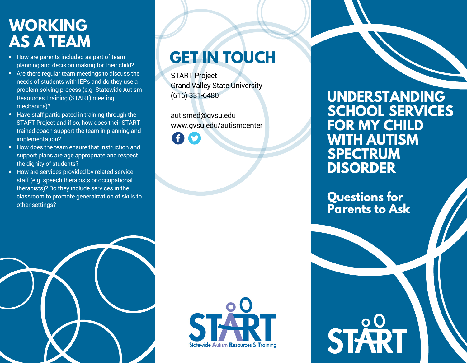### **WORKING AS A TEAM**

- How are parents included as part of team planning and decision making for their child?
- Are there regular team meetings to discuss the needs of students with IEPs and do they use a problem solving process (e.g. Statewide Autism Resources Training (START) meeting mechanics)?
- Have staff participated in training through the START Project and if so, how does their STARTtrained coach support the team in planning and implementation?
- How does the team ensure that instruction and support plans are age appropriate and respect the dignity of students?
- How are services provided by related service staff (e.g. speech therapists or occupational therapists)? Do they include services in the classroom to promote generalization of skills to other settings?

# **GET IN TOUCH**

START Project Grand Valley State University (616) 331-6480

autismed@gvsu.edu www.gvsu.edu/autismcenter



**Questions for Parents to Ask**